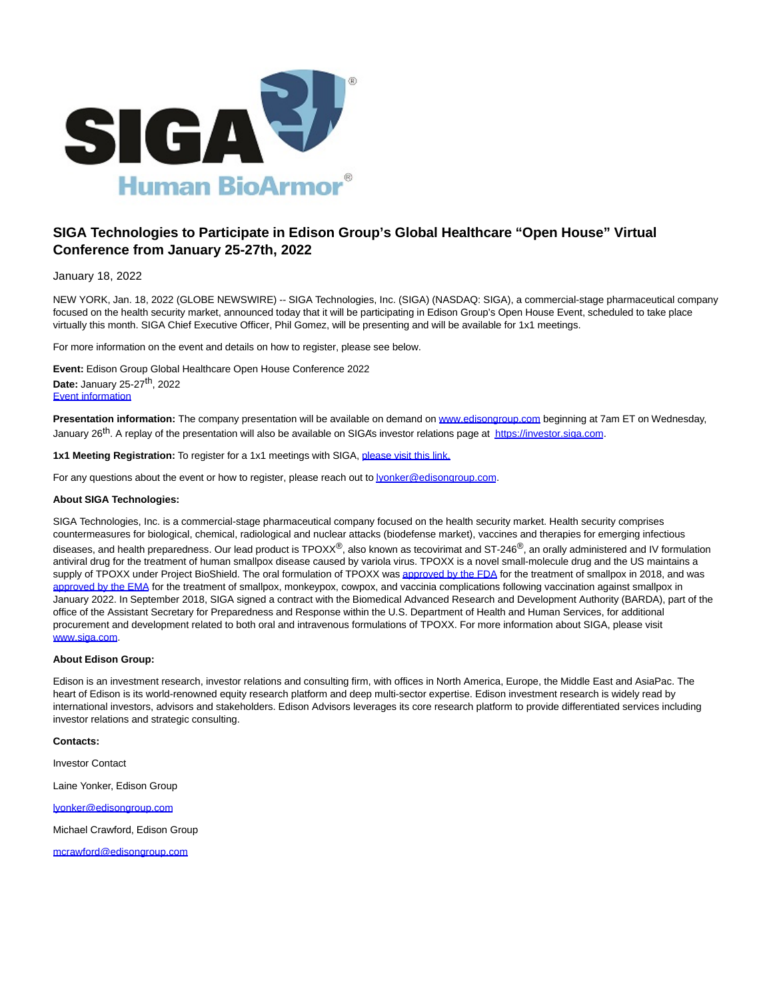

## **SIGA Technologies to Participate in Edison Group's Global Healthcare "Open House" Virtual Conference from January 25-27th, 2022**

January 18, 2022

NEW YORK, Jan. 18, 2022 (GLOBE NEWSWIRE) -- SIGA Technologies, Inc. (SIGA) (NASDAQ: SIGA), a commercial-stage pharmaceutical company focused on the health security market, announced today that it will be participating in Edison Group's Open House Event, scheduled to take place virtually this month. SIGA Chief Executive Officer, Phil Gomez, will be presenting and will be available for 1x1 meetings.

For more information on the event and details on how to register, please see below.

**Event:** Edison Group Global Healthcare Open House Conference 2022 **Date:** January 25-27th, 2022 [Event information](https://www.globenewswire.com/Tracker?data=AOTvb-8LT2fELlvl44tDqsIIdwWp233znRrnfc3ZNVTVP8RyXcZMDptP8528tUGRA90Tp-Gas48qnds0p1iP4Y-6Uv0gdGSvacnwZaomcvx7V-s5YLJ_Czhzmf6FXlyWHAjieLl6GW8zEVDfKR8btXAAn8o6m2jz2It1c6MpbLk=)

**Presentation information:** The company presentation will be available on demand on [www.edisongroup.com b](http://www.edisongroup.com/)eginning at 7am ET on Wednesday, January 26<sup>th</sup>. A replay of the presentation will also be available on SIGA's investor relations page at [https://investor.siga.com.](https://www.globenewswire.com/Tracker?data=a9ZkBB_1VYg_ff4BxERg0jxnF3Dra1jeO7ubOzWvJTHHDeFctDRTk5Pkl2akVVK2-phhHhbtD3NWw10-SV9ReQwykcpbaNLDG-2DYaRtZHw=)

**1x1 Meeting Registration:** To register for a 1x1 meetings with SIGA, [please visit this link.](https://www.globenewswire.com/Tracker?data=xok3OqWK7M7CN4d4lOim621D6ZRFguq_i_5y4a9JbdNgHzObY2fmi85eW2N0zoC7WbRZhx0IyHBOq98jMlwOARv4IKB7Atv7d_QFLHo73K4Vk5VKduGvyxgVuwzZbFWHe3_zYhJkjRC8VJYXMAXpAbMmLvJM94WWXGUVaaZ-qcrUKk0t1vOGqqeQpIIywPcv)

For any questions about the event or how to register, please reach out t[o lyonker@edisongroup.com.](mailto:lyonker@edisongroup.com)

## **About SIGA Technologies:**

SIGA Technologies, Inc. is a commercial-stage pharmaceutical company focused on the health security market. Health security comprises countermeasures for biological, chemical, radiological and nuclear attacks (biodefense market), vaccines and therapies for emerging infectious diseases, and health preparedness. Our lead product is TPOXX<sup>®</sup>, also known as tecovirimat and ST-246<sup>®</sup>, an orally administered and IV formulation antiviral drug for the treatment of human smallpox disease caused by variola virus. TPOXX is a novel small-molecule drug and the US maintains a supply of TPOXX under Project BioShield. The oral formulation of TPOXX wa[s approved by the FDA f](https://www.globenewswire.com/Tracker?data=iiSt4gJrsHyXlTSEn2Vsf-UEebsrQm4BI9FdBN8BQ6W80OmHLClXzLg_PAwcWZ4Lz5Y2DsJu4QRqs3nMsLYYlpRRCbjv3SGmbwMrLjZeRiRw-vxG0iQTqsXHzqgXFQu9HZ_UfhwcaYjUYBVWTVralQZHADHkE8SThXjnk8ChGl8=)or the treatment of smallpox in 2018, and was [approved by the EMA f](https://www.globenewswire.com/Tracker?data=iiSt4gJrsHyXlTSEn2Vsf6fhuZFjklSpZwmh1NWHyeoC8RZEDpZNxPWrwGniDiDPhCvMnSKwvAqW5gdNXL1bnreMIk-6iVjAG5c_8kixwe6FDgdVhyIVQaqV7uJVX6ZO3S7WwhU_w_z7srq1oqkBP4eGrEIzjwURMRZgxIjZAolJw2E0kjZ6kdzwXaIPsAzu)or the treatment of smallpox, monkeypox, cowpox, and vaccinia complications following vaccination against smallpox in January 2022. In September 2018, SIGA signed a contract with the Biomedical Advanced Research and Development Authority (BARDA), part of the office of the Assistant Secretary for Preparedness and Response within the U.S. Department of Health and Human Services, for additional procurement and development related to both oral and intravenous formulations of TPOXX. For more information about SIGA, please visit [www.siga.com.](http://www.siga.com/)

## **About Edison Group:**

Edison is an investment research, investor relations and consulting firm, with offices in North America, Europe, the Middle East and AsiaPac. The heart of Edison is its world-renowned equity research platform and deep multi-sector expertise. Edison investment research is widely read by international investors, advisors and stakeholders. Edison Advisors leverages its core research platform to provide differentiated services including investor relations and strategic consulting.

## **Contacts:**

Investor Contact

Laine Yonker, Edison Group

[lyonker@edisongroup.com](https://www.globenewswire.com/Tracker?data=8-Rc2BqZK5WzWUHPzBKghF7XypfWgreSoFL4B0mzGTnoFBuYqWXx4u55vw5blTensKO_pMiHvLTTICDLCFZcHIScU_0croqy22PMoFJ2wzI=)

Michael Crawford, Edison Group

[mcrawford@edisongroup.com](https://www.globenewswire.com/Tracker?data=Z8HFC_LtofDQFCJp1m5YBOVGiNY_NuC84mv85dzxu40gOjxZxVoygjAZMkiAh0YUR0aCRjIUZY-uLNP_eNNqHQ8DdSJLM3gWZFFe4QWE8UE=)